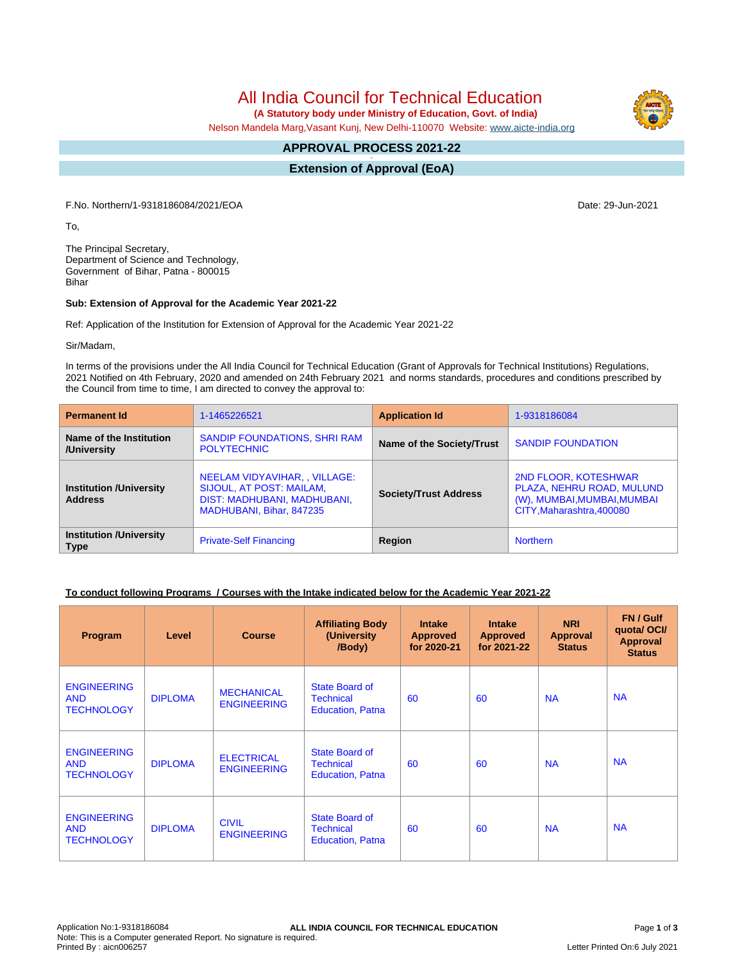# All India Council for Technical Education

 **(A Statutory body under Ministry of Education, Govt. of India)**

Nelson Mandela Marg,Vasant Kunj, New Delhi-110070 Website: [www.aicte-india.org](http://www.aicte-india.org)

#### **APPROVAL PROCESS 2021-22 -**

**Extension of Approval (EoA)**

F.No. Northern/1-9318186084/2021/EOA Date: 29-Jun-2021

To,

The Principal Secretary, Department of Science and Technology, Government of Bihar, Patna - 800015 Bihar

#### **Sub: Extension of Approval for the Academic Year 2021-22**

Ref: Application of the Institution for Extension of Approval for the Academic Year 2021-22

Sir/Madam,

In terms of the provisions under the All India Council for Technical Education (Grant of Approvals for Technical Institutions) Regulations, 2021 Notified on 4th February, 2020 and amended on 24th February 2021 and norms standards, procedures and conditions prescribed by the Council from time to time, I am directed to convey the approval to:

| <b>Permanent Id</b>                              | 1-1465226521                                                                                                                | <b>Application Id</b>        | 1-9318186084                                                                                                  |  |
|--------------------------------------------------|-----------------------------------------------------------------------------------------------------------------------------|------------------------------|---------------------------------------------------------------------------------------------------------------|--|
| Name of the Institution<br>/University           | SANDIP FOUNDATIONS, SHRI RAM<br><b>POLYTECHNIC</b>                                                                          | Name of the Society/Trust    | <b>SANDIP FOUNDATION</b>                                                                                      |  |
| <b>Institution /University</b><br><b>Address</b> | NEELAM VIDYAVIHAR, , VILLAGE:<br><b>SIJOUL, AT POST: MAILAM,</b><br>DIST: MADHUBANI, MADHUBANI,<br>MADHUBANI, Bihar, 847235 | <b>Society/Trust Address</b> | 2ND FLOOR, KOTESHWAR<br>PLAZA, NEHRU ROAD, MULUND<br>(W), MUMBAI, MUMBAI, MUMBAI<br>CITY, Maharashtra, 400080 |  |
| <b>Institution /University</b><br><b>Type</b>    | <b>Private-Self Financing</b>                                                                                               | Region                       | <b>Northern</b>                                                                                               |  |

#### **To conduct following Programs / Courses with the Intake indicated below for the Academic Year 2021-22**

| Program                                               | Level          | <b>Course</b>                           | <b>Affiliating Body</b><br>(University<br>/Body)              | <b>Intake</b><br><b>Approved</b><br>for 2020-21 | <b>Intake</b><br><b>Approved</b><br>for 2021-22 | <b>NRI</b><br>Approval<br><b>Status</b> | FN / Gulf<br>quota/OCI/<br><b>Approval</b><br><b>Status</b> |
|-------------------------------------------------------|----------------|-----------------------------------------|---------------------------------------------------------------|-------------------------------------------------|-------------------------------------------------|-----------------------------------------|-------------------------------------------------------------|
| <b>ENGINEERING</b><br><b>AND</b><br><b>TECHNOLOGY</b> | <b>DIPLOMA</b> | <b>MECHANICAL</b><br><b>ENGINEERING</b> | State Board of<br><b>Technical</b><br><b>Education, Patna</b> | 60                                              | 60                                              | <b>NA</b>                               | <b>NA</b>                                                   |
| <b>ENGINEERING</b><br><b>AND</b><br><b>TECHNOLOGY</b> | <b>DIPLOMA</b> | <b>ELECTRICAL</b><br><b>ENGINEERING</b> | State Board of<br><b>Technical</b><br><b>Education, Patna</b> | 60                                              | 60                                              | <b>NA</b>                               | <b>NA</b>                                                   |
| <b>ENGINEERING</b><br><b>AND</b><br><b>TECHNOLOGY</b> | <b>DIPLOMA</b> | <b>CIVIL</b><br><b>ENGINEERING</b>      | State Board of<br><b>Technical</b><br><b>Education, Patna</b> | 60                                              | 60                                              | <b>NA</b>                               | <b>NA</b>                                                   |

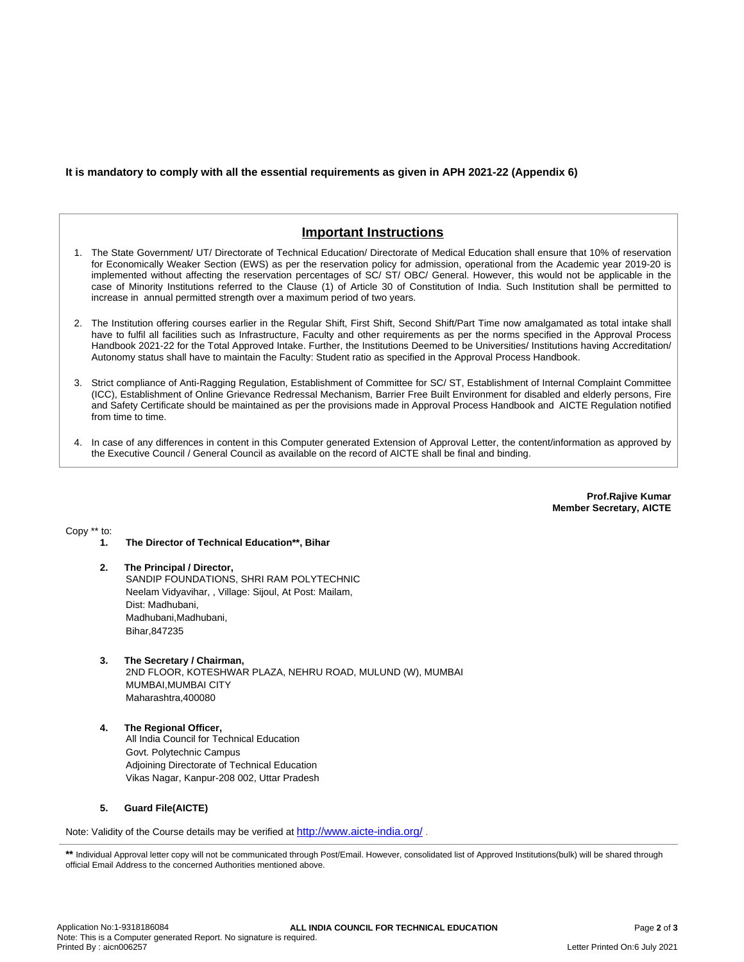### **It is mandatory to comply with all the essential requirements as given in APH 2021-22 (Appendix 6)**

## **Important Instructions**

- 1. The State Government/ UT/ Directorate of Technical Education/ Directorate of Medical Education shall ensure that 10% of reservation for Economically Weaker Section (EWS) as per the reservation policy for admission, operational from the Academic year 2019-20 is implemented without affecting the reservation percentages of SC/ ST/ OBC/ General. However, this would not be applicable in the case of Minority Institutions referred to the Clause (1) of Article 30 of Constitution of India. Such Institution shall be permitted to increase in annual permitted strength over a maximum period of two years.
- 2. The Institution offering courses earlier in the Regular Shift, First Shift, Second Shift/Part Time now amalgamated as total intake shall have to fulfil all facilities such as Infrastructure, Faculty and other requirements as per the norms specified in the Approval Process Handbook 2021-22 for the Total Approved Intake. Further, the Institutions Deemed to be Universities/ Institutions having Accreditation/ Autonomy status shall have to maintain the Faculty: Student ratio as specified in the Approval Process Handbook.
- 3. Strict compliance of Anti-Ragging Regulation, Establishment of Committee for SC/ ST, Establishment of Internal Complaint Committee (ICC), Establishment of Online Grievance Redressal Mechanism, Barrier Free Built Environment for disabled and elderly persons, Fire and Safety Certificate should be maintained as per the provisions made in Approval Process Handbook and AICTE Regulation notified from time to time.
- 4. In case of any differences in content in this Computer generated Extension of Approval Letter, the content/information as approved by the Executive Council / General Council as available on the record of AICTE shall be final and binding.

**Prof.Rajive Kumar Member Secretary, AICTE**

Copy \*\* to:

- **1. The Director of Technical Education\*\*, Bihar**
- **2. The Principal / Director,** SANDIP FOUNDATIONS, SHRI RAM POLYTECHNIC Neelam Vidyavihar, , Village: Sijoul, At Post: Mailam, Dist: Madhubani, Madhubani, Madhubani, Bihar,847235
- **3. The Secretary / Chairman,** 2ND FLOOR, KOTESHWAR PLAZA, NEHRU ROAD, MULUND (W), MUMBAI MUMBAI,MUMBAI CITY Maharashtra,400080
- **4. The Regional Officer,** All India Council for Technical Education Govt. Polytechnic Campus Adjoining Directorate of Technical Education Vikas Nagar, Kanpur-208 002, Uttar Pradesh

#### **5. Guard File(AICTE)**

Note: Validity of the Course details may be verified at <http://www.aicte-india.org/> **.**

**\*\*** Individual Approval letter copy will not be communicated through Post/Email. However, consolidated list of Approved Institutions(bulk) will be shared through official Email Address to the concerned Authorities mentioned above.